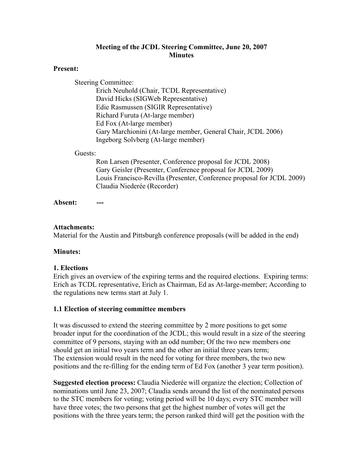### **Meeting of the JCDL Steering Committee, June 20, 2007 Minutes**

#### **Present:**

Steering Committee: Erich Neuhold (Chair, TCDL Representative) David Hicks (SIGWeb Representative) Edie Rasmussen (SIGIR Representative) Richard Furuta (At-large member) Ed Fox (At-large member) Gary Marchionini (At-large member, General Chair, JCDL 2006) Ingeborg Solvberg (At-large member)

#### Guests:

Ron Larsen (Presenter, Conference proposal for JCDL 2008) Gary Geisler (Presenter, Conference proposal for JCDL 2009) Louis Francisco-Revilla (Presenter, Conference proposal for JCDL 2009) Claudia Niederée (Recorder)

**Absent: ---**

#### **Attachments:**

Material for the Austin and Pittsburgh conference proposals (will be added in the end)

### **Minutes:**

### **1. Elections**

Erich gives an overview of the expiring terms and the required elections. Expiring terms: Erich as TCDL representative, Erich as Chairman, Ed as At-large-member; According to the regulations new terms start at July 1.

#### **1.1 Election of steering committee members**

It was discussed to extend the steering committee by 2 more positions to get some broader input for the coordination of the JCDL; this would result in a size of the steering committee of 9 persons, staying with an odd number; Of the two new members one should get an initial two years term and the other an initial three years term; The extension would result in the need for voting for three members, the two new positions and the re-filling for the ending term of Ed Fox (another 3 year term position).

**Suggested election process:** Claudia Niederée will organize the election; Collection of nominations until June 23, 2007; Claudia sends around the list of the nominated persons to the STC members for voting; voting period will be 10 days; every STC member will have three votes; the two persons that get the highest number of votes will get the positions with the three years term; the person ranked third will get the position with the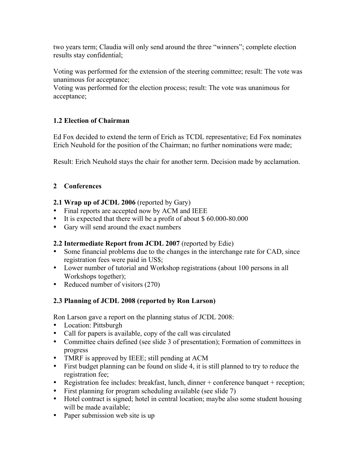two years term; Claudia will only send around the three "winners"; complete election results stay confidential;

Voting was performed for the extension of the steering committee; result: The vote was unanimous for acceptance;

Voting was performed for the election process; result: The vote was unanimous for acceptance;

# **1.2 Election of Chairman**

Ed Fox decided to extend the term of Erich as TCDL representative; Ed Fox nominates Erich Neuhold for the position of the Chairman; no further nominations were made;

Result: Erich Neuhold stays the chair for another term. Decision made by acclamation.

# **2 Conferences**

### **2.1 Wrap up of JCDL 2006** (reported by Gary)

- Final reports are accepted now by ACM and IEEE
- It is expected that there will be a profit of about \$ 60.000-80.000
- Gary will send around the exact numbers

### **2.2 Intermediate Report from JCDL 2007** (reported by Edie)

- Some financial problems due to the changes in the interchange rate for CAD, since registration fees were paid in US\$;
- Lower number of tutorial and Workshop registrations (about 100 persons in all Workshops together);
- Reduced number of visitors (270)

### **2.3 Planning of JCDL 2008 (reported by Ron Larson)**

Ron Larson gave a report on the planning status of JCDL 2008:

- Location: Pittsburgh
- Call for papers is available, copy of the call was circulated
- Committee chairs defined (see slide 3 of presentation); Formation of committees in progress
- TMRF is approved by IEEE; still pending at ACM
- First budget planning can be found on slide 4, it is still planned to try to reduce the registration fee;
- Registration fee includes: breakfast, lunch, dinner + conference banquet + reception;
- First planning for program scheduling available (see slide 7)
- Hotel contract is signed; hotel in central location; maybe also some student housing will be made available;
- Paper submission web site is up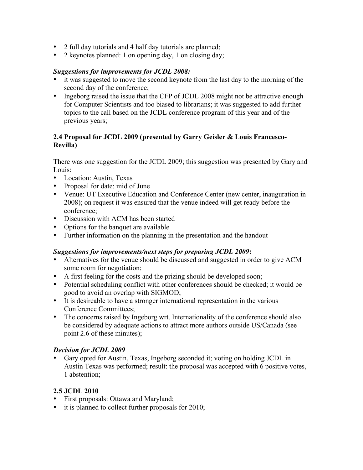- 2 full day tutorials and 4 half day tutorials are planned;
- 2 keynotes planned: 1 on opening day, 1 on closing day;

#### *Suggestions for improvements for JCDL 2008:*

- it was suggested to move the second keynote from the last day to the morning of the second day of the conference;
- Ingeborg raised the issue that the CFP of JCDL 2008 might not be attractive enough for Computer Scientists and too biased to librarians; it was suggested to add further topics to the call based on the JCDL conference program of this year and of the previous years;

### **2.4 Proposal for JCDL 2009 (presented by Garry Geisler & Louis Francesco-Revilla)**

There was one suggestion for the JCDL 2009; this suggestion was presented by Gary and Louis:

- Location: Austin, Texas
- Proposal for date: mid of June
- Venue: UT Executive Education and Conference Center (new center, inauguration in 2008); on request it was ensured that the venue indeed will get ready before the conference;
- Discussion with ACM has been started
- Options for the banquet are available
- Further information on the planning in the presentation and the handout

### *Suggestions for improvements/next steps for preparing JCDL 2009***:**

- Alternatives for the venue should be discussed and suggested in order to give ACM some room for negotiation;
- A first feeling for the costs and the prizing should be developed soon;
- Potential scheduling conflict with other conferences should be checked; it would be good to avoid an overlap with SIGMOD;
- It is desireable to have a stronger international representation in the various Conference Committees;
- The concerns raised by Ingeborg wrt. Internationality of the conference should also be considered by adequate actions to attract more authors outside US/Canada (see point 2.6 of these minutes);

# *Decision for JCDL 2009*

• Gary opted for Austin, Texas, Ingeborg seconded it; voting on holding JCDL in Austin Texas was performed; result: the proposal was accepted with 6 positive votes, 1 abstention;

### **2.5 JCDL 2010**

- First proposals: Ottawa and Maryland;
- it is planned to collect further proposals for 2010;